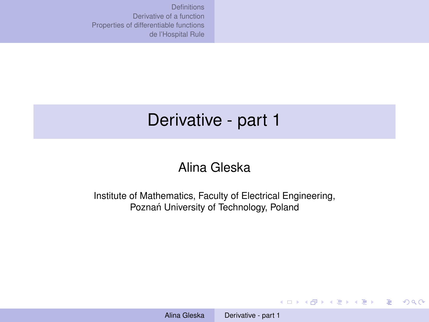# <span id="page-0-0"></span>Derivative - part 1

### Alina Gleska

Institute of Mathematics, Faculty of Electrical Engineering, Poznań University of Technology, Poland

**KO K K (F) K E K (E) K E K Y Q (A)**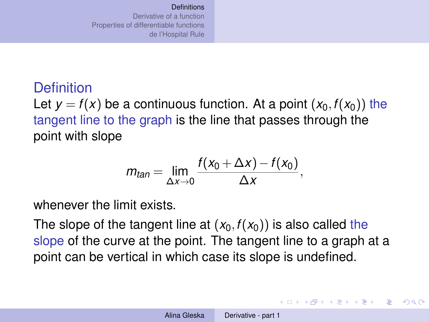<span id="page-1-0"></span>Let  $y = f(x)$  be a continuous function. At a point  $(x_0, f(x_0))$  the tangent line to the graph is the line that passes through the point with slope

$$
m_{tan} = \lim_{\Delta x \to 0} \frac{f(x_0 + \Delta x) - f(x_0)}{\Delta x},
$$

whenever the limit exists.

The slope of the tangent line at  $(x_0, f(x_0))$  is also called the slope of the curve at the point. The tangent line to a graph at a point can be vertical in which case its slope is undefined.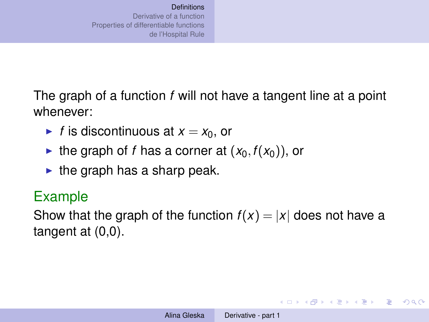The graph of a function *f* will not have a tangent line at a point whenever:

- If is discontinuous at  $x = x_0$ , or
- If the graph of *f* has a corner at  $(x_0, f(x_0))$ , or
- $\blacktriangleright$  the graph has a sharp peak.

## Example

Show that the graph of the function  $f(x) = |x|$  does not have a tangent at (0,0).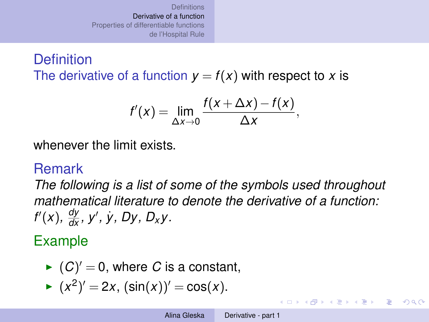### <span id="page-3-0"></span>**Definition** The derivative of a function  $y = f(x)$  with respect to x is

$$
f'(x) = \lim_{\Delta x \to 0} \frac{f(x + \Delta x) - f(x)}{\Delta x},
$$

whenever the limit exists.

## Remark

*The following is a list of some of the symbols used throughout mathematical literature to denote the derivative of a function: f'*(*x*),  $\frac{dy}{dx}$ , *y'*, *y*, *Dy*, *D<sub>x</sub>y*.

# Example

► 
$$
(C)' = 0
$$
, where *C* is a constant,

$$
(x^2)' = 2x
$$
,  $(\sin(x))' = \cos(x)$ .

イロト イ押 トイヨ トイヨ トーヨー

 $QQ$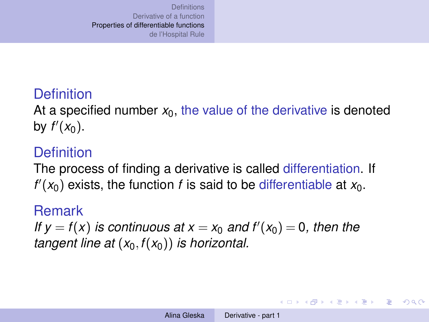<span id="page-4-0"></span>At a specified number *x*0, the value of the derivative is denoted by  $f'(x_0)$ .

## **Definition**

The process of finding a derivative is called differentiation. If  $f'(x_0)$  exists, the function *f* is said to be differentiable at  $x_0$ .

#### Remark

*If*  $y = f(x)$  *is continuous at*  $x = x_0$  *and*  $f'(x_0) = 0$ *, then the tangent line at*  $(x_0, f(x_0))$  *is horizontal.* 

イロト イ押 トイヨ トイヨ トーヨー

 $\Omega$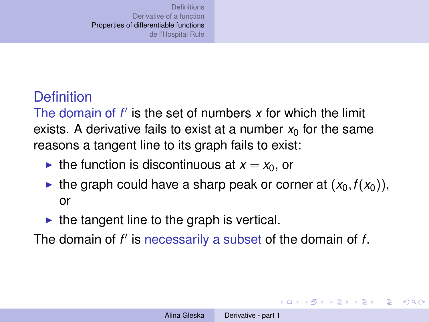The domain of  $f'$  is the set of numbers  $x$  for which the limit exists. A derivative fails to exist at a number  $x_0$  for the same reasons a tangent line to its graph fails to exist:

- If the function is discontinuous at  $x = x_0$ , or
- If the graph could have a sharp peak or corner at  $(x_0, f(x_0))$ , or
- $\blacktriangleright$  the tangent line to the graph is vertical.

The domain of *f'* is necessarily a subset of the domain of *f*.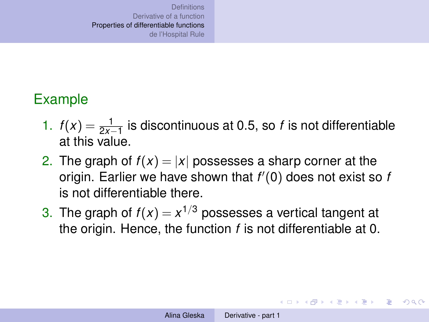## Example

- 1.  $f(x) = \frac{1}{2x-1}$  is discontinuous at 0.5, so *f* is not differentiable at this value.
- 2. The graph of  $f(x) = |x|$  possesses a sharp corner at the origin. Earlier we have shown that *f* 0 (0) does not exist so *f* is not differentiable there.
- 3. The graph of  $f(x) = x^{1/3}$  possesses a vertical tangent at the origin. Hence, the function *f* is not differentiable at 0.

KOD KAP KED KED E LORO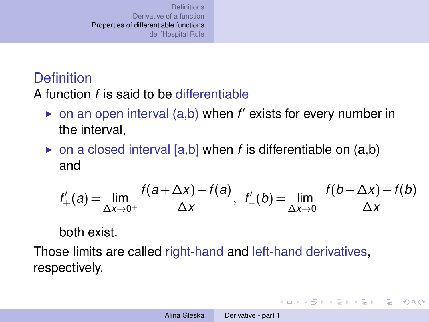A function *f* is said to be differentiable

- on an open interval (a,b) when *f'* exists for every number in the interval,
- $\triangleright$  on a closed interval [a,b] when *f* is differentiable on (a,b) and

$$
f'_{+}(a) = \lim_{\Delta x \to 0^{+}} \frac{f(a + \Delta x) - f(a)}{\Delta x}, \ \ f'_{-}(b) = \lim_{\Delta x \to 0^{-}} \frac{f(b + \Delta x) - f(b)}{\Delta x}
$$

both exist.

Those limits are called right-hand and left-hand derivatives, respectively.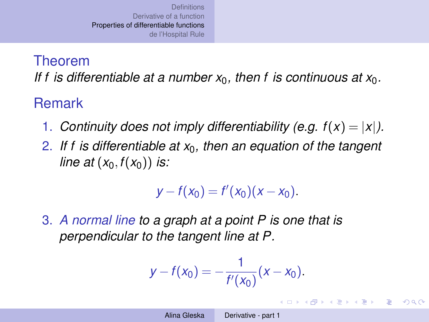### Theorem

If f is differentiable at a number  $x_0$ , then f is continuous at  $x_0$ .

## Remark

- 1. *Continuity does not imply differentiability (e.g.*  $f(x) = |x|$ *).*
- 2. *If f is differentiable at x*0*, then an equation of the tangent line at*  $(x_0, f(x_0))$  *is:*

$$
y - f(x_0) = f'(x_0)(x - x_0).
$$

3. *A normal line to a graph at a point P is one that is perpendicular to the tangent line at P.*

$$
y - f(x_0) = -\frac{1}{f'(x_0)}(x - x_0).
$$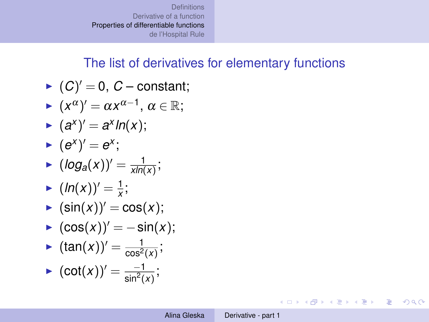### The list of derivatives for elementary functions

- $\blacktriangleright$   $(C)' = 0$ ,  $C$  constant;
- $\blacktriangleright$   $(x^{\alpha})' = \alpha x^{\alpha-1}, \ \alpha \in \mathbb{R};$
- $\bullet$   $(a^{x})' = a^{x} \ln(x);$

$$
\blacktriangleright (e^x)' = e^x;
$$

- $\blacktriangleright$   $(log_a(x))' = \frac{1}{xln(1)}$  $\frac{1}{xln(x)}$ ;
- $(ln(x))' = \frac{1}{x}$  $\frac{1}{x}$ ;
- $\blacktriangleright$  (sin(x))' = cos(x);
- $\triangleright$   $(cos(x))' = -sin(x);$
- **I**  $(\tan(x))' = \frac{1}{\cos^2(x)}$  $\frac{1}{\cos^2(x)}$ ;
- $\bullet$   $(\cot(x))' = \frac{-1}{\sin^2(x)}$  $\frac{-1}{\sin^2(x)}$ ;

KOD KAP KED KED E LORO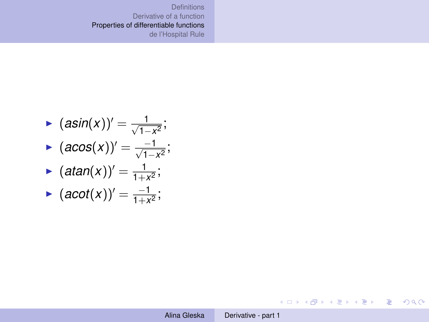$$
\begin{aligned}\n\bullet \ (a\sin(x))' &= \frac{1}{\sqrt{1-x^2}}; \\
\bullet \ (a\cos(x))' &= \frac{-1}{\sqrt{1-x^2}}; \\
\bullet \ (atan(x))' &= \frac{1}{1+x^2}; \\
\bullet \ (acot(x))' &= \frac{-1}{1+x^2};\n\end{aligned}
$$

KID KARY KEI KEI TE YORO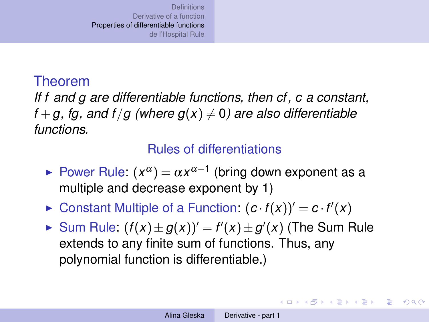### Theorem

*If f and g are differentiable functions, then cf, c a constant,*  $f + g$ , fg, and  $f/g$  (where  $g(x) \neq 0$ ) are also differentiable *functions.*

### Rules of differentiations

- ► Power Rule:  $(x^{\alpha}) = \alpha x^{\alpha-1}$  (bring down exponent as a multiple and decrease exponent by 1)
- $\triangleright$  Constant Multiple of a Function:  $(c \cdot f(x))' = c \cdot f'(x)$
- ► Sum Rule:  $(f(x) \pm g(x))' = f'(x) \pm g'(x)$  (The Sum Rule extends to any finite sum of functions. Thus, any polynomial function is differentiable.)

イロト イ押 トイヨ トイヨ トーヨー

 $\Omega$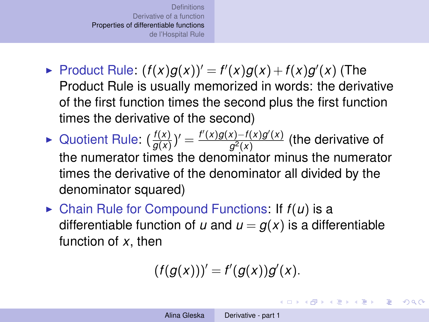- $\blacktriangleright$  Product Rule:  $(f(x)g(x))' = f'(x)g(x) + f(x)g'(x)$  (The Product Rule is usually memorized in words: the derivative of the first function times the second plus the first function times the derivative of the second)
- $\blacktriangleright$  Quotient Rule:  $\left(\frac{f(x)}{g(x)}\right)$  $\frac{f(x)}{g(x)}$ )' =  $\frac{f'(x)g(x)-f(x)g'(x)}{g^2(x)}$  $\frac{f(x)-f(x)g(x)}{g^2(x)}$  (the derivative of the numerator times the denominator minus the numerator times the derivative of the denominator all divided by the denominator squared)
- $\triangleright$  Chain Rule for Compound Functions: If  $f(u)$  is a differentiable function of *u* and  $u = g(x)$  is a differentiable function of *x*, then

$$
(f(g(x)))'=f'(g(x))g'(x).
$$

K ロ ▶ K 御 ▶ K 君 ▶ K 君 ▶ ○ 君

 $\Omega$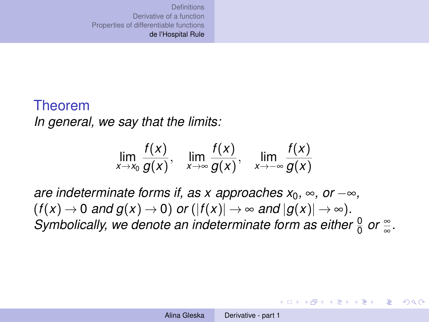#### <span id="page-13-0"></span>Theorem

*In general, we say that the limits:*

$$
\lim_{x \to x_0} \frac{f(x)}{g(x)}, \quad \lim_{x \to \infty} \frac{f(x)}{g(x)}, \quad \lim_{x \to -\infty} \frac{f(x)}{g(x)}
$$

*are indeterminate forms if, as x approaches*  $x_0$ *,*  $\infty$ *, or*  $-\infty$ *,*  $(f(x) \to 0$  *and*  $g(x) \to 0)$  *or*  $(|f(x)| \to \infty$  *and*  $|g(x)| \to \infty)$ *. Symbolically, we denote an indeterminate form as either*  $\frac{0}{0}$  or  $\frac{\infty}{\infty}$ *.* 

イロン イ押ン イヨン イヨン 一重

 $QQ$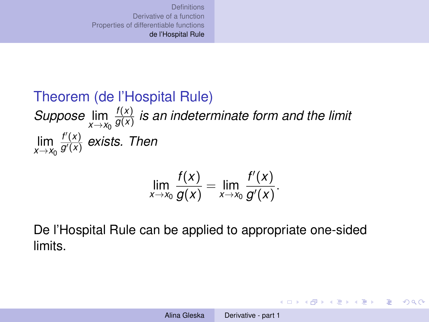#### Theorem (de l'Hospital Rule) *Suppose*  $\lim_{x \to x_0} \frac{f(x)}{g(x)}$ *g*(*x*) *is an indeterminate form and the limit*  $\lim_{x \to x_0} \frac{f'(x)}{g'(x)}$ *g* <sup>0</sup>(*x*) *exists. Then*

$$
\lim_{x\to x_0}\frac{f(x)}{g(x)}=\lim_{x\to x_0}\frac{f'(x)}{g'(x)}.
$$

De l'Hospital Rule can be applied to appropriate one-sided limits.

イロト イ押 トイヨ トイヨ トーヨー

 $QQQ$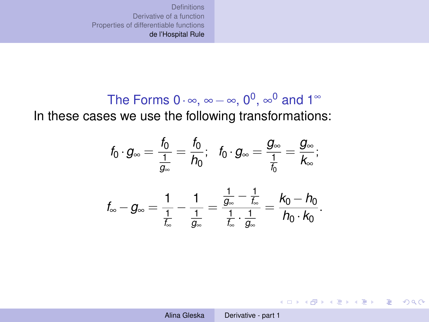The Forms 
$$
0 \cdot \infty
$$
,  $\infty - \infty$ ,  $0^0$ ,  $\infty^0$  and  $1^{\infty}$   
In these cases we use the following transformations:

$$
f_0 \cdot g_{\infty} = \frac{f_0}{\frac{1}{g_{\infty}}} = \frac{f_0}{h_0}; \quad f_0 \cdot g_{\infty} = \frac{g_{\infty}}{\frac{1}{f_0}} = \frac{g_{\infty}}{k_{\infty}};
$$

$$
f_{\infty} - g_{\infty} = \frac{1}{\frac{1}{f_{\infty}}} - \frac{1}{\frac{1}{g_{\infty}}} = \frac{\frac{1}{g_{\infty}} - \frac{1}{f_{\infty}}}{\frac{1}{f_{\infty}} \cdot \frac{1}{g_{\infty}}} = \frac{k_0 - h_0}{h_0 \cdot k_0}.
$$

KID KARY KEI KEI TE YORO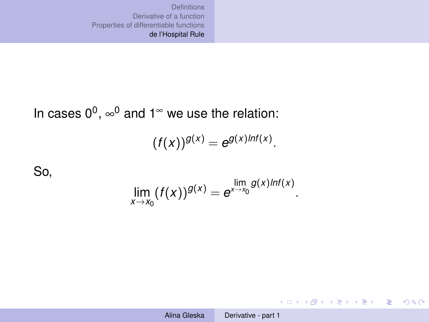### In cases  $0^0$ ,  $\infty^0$  and 1<sup> $\infty$ </sup> we use the relation:

$$
(f(x))^{g(x)}=e^{g(x)lnf(x)}.
$$

So,

$$
\lim_{x\to x_0}(f(x))^{g(x)}=e^{\lim_{x\to x_0}g(x)lnf(x)}.
$$

KID KAR KE KE KE YA GA